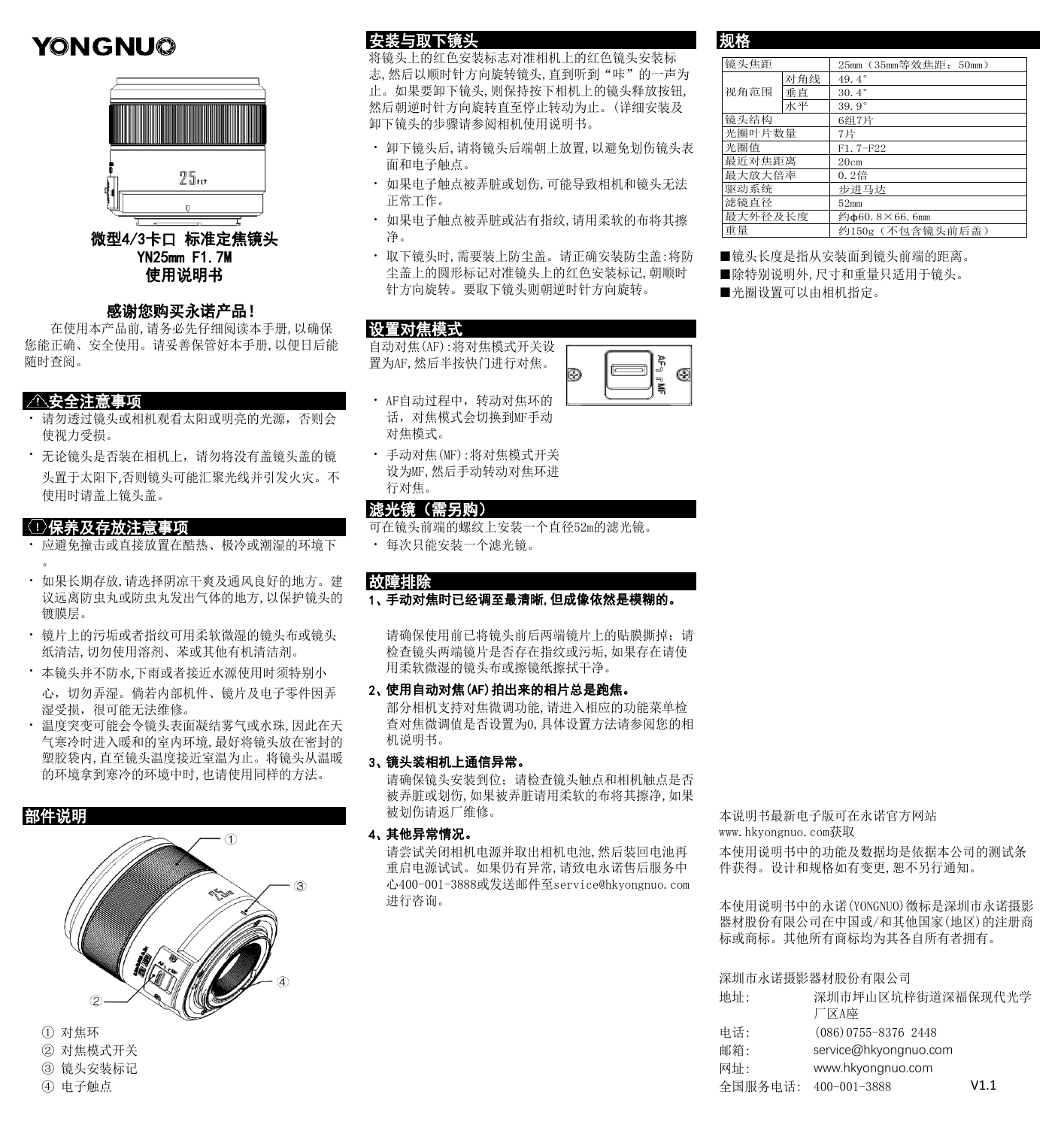# YONGNU@



## 感谢您购买永诺产品!

 在使用本产品前,请务必先仔细阅读本手册,以确保 您能正确、安全使用。请妥善保管好本手册,以便日后能 随时查阅。

- ・ 请勿透过镜头或相机观看太阳或明亮的光源,否则会 使视力受损。
- · 无论镜头是否装在相机上, 请勿将没有盖镜头盖的镜 头置于太阳下,否则镜头可能汇聚光线并引发火灾。不 使用时请盖上镜头盖。

- ・ 应避免撞击或直接放置在酷热、极冷或潮湿的环境下 キャンク・トランス  $\bullet$
- ・ 如果长期存放,请选择阴凉干爽及通风良好的地方。建 议远离防虫丸或防虫丸发出气体的地方,以保护镜头的 镀膜层。
- ・ 镜片上的污垢或者指纹可用柔软微湿的镜头布或镜头 纸清洁,切勿使用溶剂、苯或其他有机清洁剂。
- 本镜头并不防水,下雨或者接近水源使用时须特别小 用柔软微湿的镜头布或擦镜纸擦拭干净。 心,切勿弄湿。倘若内部机件、镜片及电子零件因弄
- ・ 温度突变可能会令镜头表面凝结雾气或水珠,因此在天 湿受损,很可能无法维修。 气寒冷时进入暖和的室内环境,最好将镜头放在密封的 塑胶袋内,直至镜头温度接近室温为止。将镜头从温暖 的环境拿到寒冷的环境中时,也请使用同样的方法。



- 
- ② 对焦模式开关
- 3 镜头安装标记
- 

## 安装与取下镜头 医心室 医心室 网络

将镜头上的红色安装标志对准相机上的红色镜头安装标 志, 然后以顺时针方向旋转镜头, 直到听到"咔"的一声为 止。如果要卸下镜头,则保持按下相机上的镜头释放按钮, 然后朝逆时针方向旋转直至停止转动为止。(详细安装及 卸下镜头的步骤请参阅相机使用说明书。

- ・ 卸下镜头后,请将镜头后端朝上放置,以避免划伤镜头表 面和电子触点。
- ・ 如果电子触点被弄脏或划伤,可能导致相机和镜头无法 正常工作。
- ・ 如果电子触点被弄脏或沾有指纹,请用柔软的布将其擦
- ・ YN25mm F1.7M 取下镜头时,需要装上防尘盖。请正确安装防尘盖:将防 **使用说明书** 尘盖上的圆形标记对准镜头上的红色安装标记, 朝顺时 ■除特别说明外, 尺寸和重量只适用于镜头。 针方向旋转。要取下镜头则朝逆时针方向旋转。

## 设置对焦模式

自动对焦(AF):将对焦模式开关设 置为AF,然后半按快门进行对焦。

- ・ 安全注意事项 AF自动过程中,转动对焦环的 话,对焦模式会切换到MF手动 对焦模式。
	- 手动对焦(MF):将对焦模式开关 设为MF,然后手动转动对焦环进 行对焦。

## 滤光镜(需另购)

- 〈1〉 保养及存放注意事项 フライス ファイン アクセラ 可在镜头前端的螺纹上安装一个直径52m的滤光镜。
	- 每次只能安装一个滤光镜。

## 故障排除

行対焦。<br><mark>滤光镜 (需另购)</mark><br>可在镜头前端的螺纹上安装<br>・ 每次只能安装一个滤光<br><br><mark>故障排除</mark><br>1、手动对焦时已经调至最 手动对焦时已经调至最清晰,但成像依然是模糊的。

2 、 请确保使用前已将镜头前后两端镜片上的贴膜撕掉;请 检查镜头两端镜片是否存在指纹或污垢,如果存在请使

## 使用自动对焦(AF)拍出来的相片总是跑焦。

检查镜头两端镜片是否<br>2、使用自动对焦(AF)拍出<br>2、使用自动对焦(AF)拍出<br>部分相机支持对焦微调<br>查对焦微调值是否设置<br>查对焦微调值是否设置<br>机说明书。<br>3、镜头装相机上通信异常<br>请确保镜头安装到位; 部分相机支持对焦微调功能,请进入相应的功能菜单检 查对焦微调值是否设置为0,具体设置方法请参阅您的相 机说明书。

## 镜头装相机上通信异常。

查对焦微调值是否设置<br>3、镜头装相机上通信异常<br>3、镜头装相机上通信异常<br>请确保镜头安装到位,如果被弄脏或划伤,如果被<br>被划伤请返厂维修。<br>被划伤请返厂维修。<br>4、其他异常情况。<br>请尝试关闭相机电源并 请确保镜头安装到位;请检查镜头触点和相机触点是否 被弄脏或划伤,如果被弄脏请用柔软的布将其擦净,如果 <mark>部件说明</mark> 被划伤请返厂维修。 本说明书最新电子版可在永诺官方网站

请尝试关闭相机电源并取出相机电池,然后装回电池再 重启电源试试。如果仍有异常,请致电永诺售后服务中 心400-001-3888或发送邮件至service@hkyongnuo.com 进行咨询。

其他异常情况。 www.hkyongnuo.com获取

本使用说明书中的功能及数据均是依据本公司的测试条 件获得。设计和规格如有变更,恕不另行通知。

本使用说明书中的永诺(YONGNUO)徴标是深圳市永诺摄影 器材股份有限公司在中国或/和其他国家(地区)的注册商 标或商标。其他所有商标均为其各自所有者拥有。

## 深圳市永诺摄影器材股份有限公司

| <b>South All Contracts</b><br>$\oslash$ | 地址: | 深圳市坪山区坑梓街道深福保现代光学<br>「区A座 |      |
|-----------------------------------------|-----|---------------------------|------|
| ① 对焦环                                   | 电话: | $(086) 0755 - 8376 2448$  |      |
| ② 对焦模式开关                                | 邮箱: | service@hkyongnuo.com     |      |
| ③ 镜头安装标记                                | 网址: | www.hkyongnuo.com         |      |
| ④ 电子触点                                  |     | 全国服务电话: 400-001-3888      | V1.1 |

 25mm(35mm等效焦距:50mm) 对角线 49.4° 垂直 |  $30.4^{\circ}$ <br>  $\pi \mp$  |  $39.9^{\circ}$ 39.9° 6组7片 7片 F1.7-F22 20cm 0.2倍 步进马达 52mm 约φ60.8×66.6mm 约150g (不包含镜头前后 最近对焦距离 镜头焦距 视角范围 镜头结构 光圈叶片数量 光圈值 最大放大倍率 驱动系统 滤镜直径 最大外径及长度 重量

■镜头长度是指从安装面到镜头前端的距离。

■光圈设置可以由相机指定。